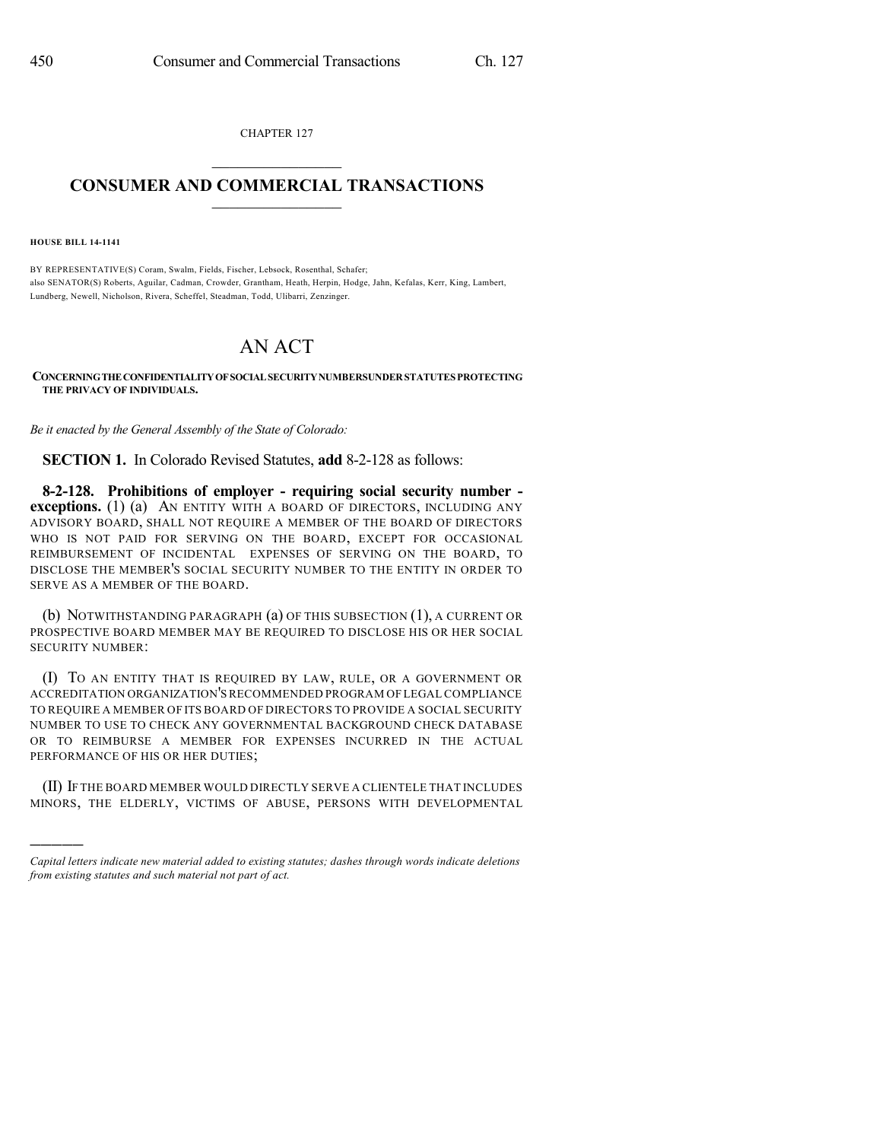CHAPTER 127  $\overline{\phantom{a}}$  . The set of the set of the set of the set of the set of the set of the set of the set of the set of the set of the set of the set of the set of the set of the set of the set of the set of the set of the set o

## **CONSUMER AND COMMERCIAL TRANSACTIONS**  $\_$   $\_$   $\_$   $\_$   $\_$   $\_$   $\_$   $\_$

**HOUSE BILL 14-1141**

)))))

BY REPRESENTATIVE(S) Coram, Swalm, Fields, Fischer, Lebsock, Rosenthal, Schafer; also SENATOR(S) Roberts, Aguilar, Cadman, Crowder, Grantham, Heath, Herpin, Hodge, Jahn, Kefalas, Kerr, King, Lambert, Lundberg, Newell, Nicholson, Rivera, Scheffel, Steadman, Todd, Ulibarri, Zenzinger.

## AN ACT

**CONCERNINGTHECONFIDENTIALITYOFSOCIALSECURITYNUMBERSUNDERSTATUTES PROTECTING THE PRIVACY OF INDIVIDUALS.**

*Be it enacted by the General Assembly of the State of Colorado:*

**SECTION 1.** In Colorado Revised Statutes, **add** 8-2-128 as follows:

**8-2-128. Prohibitions of employer - requiring social security number exceptions.** (1) (a) AN ENTITY WITH A BOARD OF DIRECTORS, INCLUDING ANY ADVISORY BOARD, SHALL NOT REQUIRE A MEMBER OF THE BOARD OF DIRECTORS WHO IS NOT PAID FOR SERVING ON THE BOARD, EXCEPT FOR OCCASIONAL REIMBURSEMENT OF INCIDENTAL EXPENSES OF SERVING ON THE BOARD, TO DISCLOSE THE MEMBER'S SOCIAL SECURITY NUMBER TO THE ENTITY IN ORDER TO SERVE AS A MEMBER OF THE BOARD.

(b) NOTWITHSTANDING PARAGRAPH (a) OF THIS SUBSECTION (1), A CURRENT OR PROSPECTIVE BOARD MEMBER MAY BE REQUIRED TO DISCLOSE HIS OR HER SOCIAL SECURITY NUMBER:

(I) TO AN ENTITY THAT IS REQUIRED BY LAW, RULE, OR A GOVERNMENT OR ACCREDITATION ORGANIZATION'S RECOMMENDED PROGRAM OF LEGAL COMPLIANCE TO REQUIRE A MEMBER OF ITS BOARD OF DIRECTORS TO PROVIDE A SOCIAL SECURITY NUMBER TO USE TO CHECK ANY GOVERNMENTAL BACKGROUND CHECK DATABASE OR TO REIMBURSE A MEMBER FOR EXPENSES INCURRED IN THE ACTUAL PERFORMANCE OF HIS OR HER DUTIES;

(II) IF THE BOARD MEMBER WOULD DIRECTLY SERVE A CLIENTELE THAT INCLUDES MINORS, THE ELDERLY, VICTIMS OF ABUSE, PERSONS WITH DEVELOPMENTAL

*Capital letters indicate new material added to existing statutes; dashes through words indicate deletions from existing statutes and such material not part of act.*